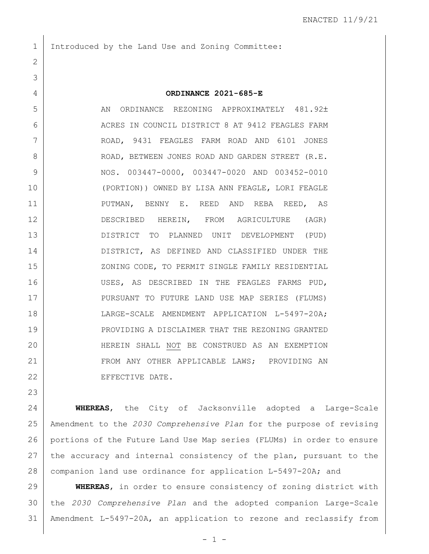Introduced by the Land Use and Zoning Committee:

 **ORDINANCE 2021-685-E** 5 AN ORDINANCE REZONING APPROXIMATELY 481.92± 6 ACRES IN COUNCIL DISTRICT 8 AT 9412 FEAGLES FARM ROAD, 9431 FEAGLES FARM ROAD AND 6101 JONES 8 ROAD, BETWEEN JONES ROAD AND GARDEN STREET (R.E. NOS. 003447-0000, 003447-0020 AND 003452-0010 (PORTION)) OWNED BY LISA ANN FEAGLE, LORI FEAGLE PUTMAN, BENNY E. REED AND REBA REED, AS DESCRIBED HEREIN, FROM AGRICULTURE (AGR) DISTRICT TO PLANNED UNIT DEVELOPMENT (PUD) DISTRICT, AS DEFINED AND CLASSIFIED UNDER THE 15 | XONING CODE, TO PERMIT SINGLE FAMILY RESIDENTIAL USES, AS DESCRIBED IN THE FEAGLES FARMS PUD, 17 | PURSUANT TO FUTURE LAND USE MAP SERIES (FLUMS) LARGE-SCALE AMENDMENT APPLICATION L-5497-20A; PROVIDING A DISCLAIMER THAT THE REZONING GRANTED HEREIN SHALL NOT BE CONSTRUED AS AN EXEMPTION 21 FROM ANY OTHER APPLICABLE LAWS; PROVIDING AN 22 EFFECTIVE DATE.

 **WHEREAS**, the City of Jacksonville adopted a Large-Scale Amendment to the *2030 Comprehensive Plan* for the purpose of revising portions of the Future Land Use Map series (FLUMs) in order to ensure 27 the accuracy and internal consistency of the plan, pursuant to the 28 | companion land use ordinance for application L-5497-20A; and

 **WHEREAS**, in order to ensure consistency of zoning district with the *2030 Comprehensive Plan* and the adopted companion Large-Scale Amendment L-5497-20A, an application to rezone and reclassify from

 $-1 -$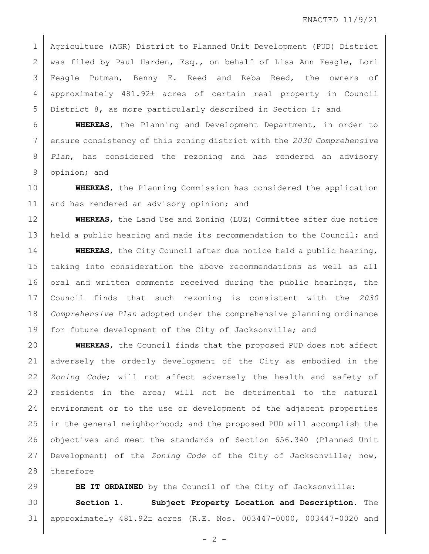Agriculture (AGR) District to Planned Unit Development (PUD) District was filed by Paul Harden, Esq., on behalf of Lisa Ann Feagle, Lori Feagle Putman, Benny E. Reed and Reba Reed, the owners of 4 | approximately 481.92± acres of certain real property in Council District 8, as more particularly described in Section 1; and

 **WHEREAS**, the Planning and Development Department, in order to ensure consistency of this zoning district with the *2030 Comprehensive Plan*, has considered the rezoning and has rendered an advisory opinion; and

 **WHEREAS**, the Planning Commission has considered the application 11 and has rendered an advisory opinion; and

 **WHEREAS**, the Land Use and Zoning (LUZ) Committee after due notice 13 | held a public hearing and made its recommendation to the Council; and

 **WHEREAS**, the City Council after due notice held a public hearing, taking into consideration the above recommendations as well as all 16 oral and written comments received during the public hearings, the Council finds that such rezoning is consistent with the *2030 Comprehensive Plan* adopted under the comprehensive planning ordinance for future development of the City of Jacksonville; and

 **WHEREAS**, the Council finds that the proposed PUD does not affect adversely the orderly development of the City as embodied in the *Zoning Code*; will not affect adversely the health and safety of residents in the area; will not be detrimental to the natural 24 environment or to the use or development of the adjacent properties 25 in the general neighborhood; and the proposed PUD will accomplish the objectives and meet the standards of Section 656.340 (Planned Unit Development) of the *Zoning Code* of the City of Jacksonville; now, 28 therefore

**BE IT ORDAINED** by the Council of the City of Jacksonville: **Section 1. Subject Property Location and Description.** The 31 | approximately 481.92± acres (R.E. Nos. 003447-0000, 003447-0020 and

 $- 2 -$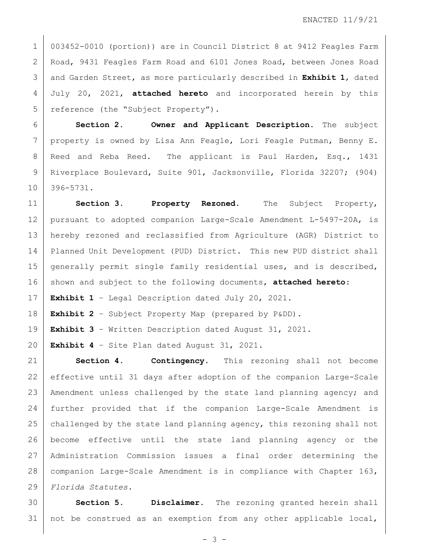003452-0010 (portion)) are in Council District 8 at 9412 Feagles Farm Road, 9431 Feagles Farm Road and 6101 Jones Road, between Jones Road and Garden Street, as more particularly described in **Exhibit 1**, dated July 20, 2021, **attached hereto** and incorporated herein by this 5 reference (the "Subject Property").

 **Section 2. Owner and Applicant Description.** The subject 7 | property is owned by Lisa Ann Feagle, Lori Feagle Putman, Benny E. 8 Reed and Reba Reed. The applicant is Paul Harden, Esq., 1431 Riverplace Boulevard, Suite 901, Jacksonville, Florida 32207; (904) 396-5731.

 **Section 3. Property Rezoned.** The Subject Property, pursuant to adopted companion Large-Scale Amendment L-5497-20A, is hereby rezoned and reclassified from Agriculture (AGR) District to Planned Unit Development (PUD) District. This new PUD district shall 15 generally permit single family residential uses, and is described, 16 shown and subject to the following documents, **attached hereto**:

**Exhibit 1** – Legal Description dated July 20, 2021.

**Exhibit 2** – Subject Property Map (prepared by P&DD).

**Exhibit 3** – Written Description dated August 31, 2021.

**Exhibit 4** – Site Plan dated August 31, 2021.

 **Section 4. Contingency.** This rezoning shall not become effective until 31 days after adoption of the companion Large-Scale Amendment unless challenged by the state land planning agency; and further provided that if the companion Large-Scale Amendment is 25 challenged by the state land planning agency, this rezoning shall not become effective until the state land planning agency or the Administration Commission issues a final order determining the companion Large-Scale Amendment is in compliance with Chapter 163, *Florida Statutes.*

 **Section 5. Disclaimer.** The rezoning granted herein shall 31 | not be construed as an exemption from any other applicable local,

- 3 -